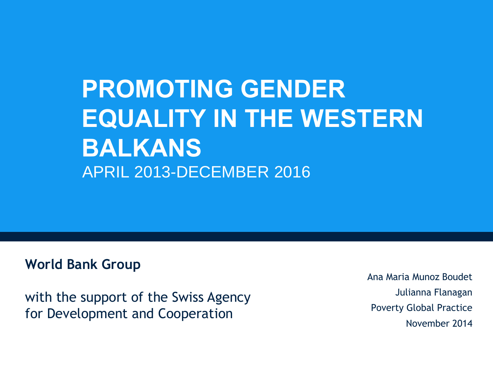# **PROMOTING GENDER EQUALITY IN THE WESTERN BALKANS** APRIL 2013-DECEMBER 2016

#### **World Bank Group**

with the support of the Swiss Agency for Development and Cooperation

Ana Maria Munoz Boudet Julianna Flanagan Poverty Global Practice November 2014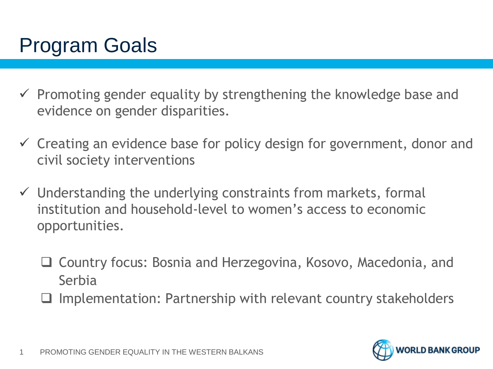# Program Goals

- $\checkmark$  Promoting gender equality by strengthening the knowledge base and evidence on gender disparities.
- $\checkmark$  Creating an evidence base for policy design for government, donor and civil society interventions
- $\checkmark$  Understanding the underlying constraints from markets, formal institution and household-level to women's access to economic opportunities.
	- Country focus: Bosnia and Herzegovina, Kosovo, Macedonia, and Serbia
	- Implementation: Partnership with relevant country stakeholders

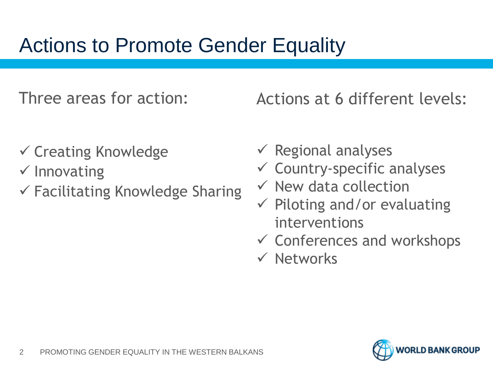# Actions to Promote Gender Equality

Three areas for action:

Actions at 6 different levels:

- $\checkmark$  Creating Knowledge
- $\checkmark$  Innovating
- $\checkmark$  Facilitating Knowledge Sharing
- $\checkmark$  Regional analyses
- $\checkmark$  Country-specific analyses
- $\checkmark$  New data collection
- $\checkmark$  Piloting and/or evaluating interventions
- $\checkmark$  Conferences and workshops
- $\checkmark$  Networks

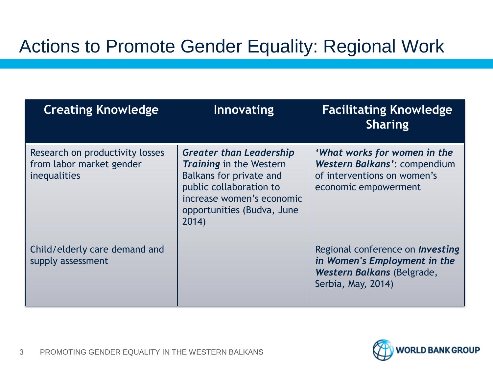# Actions to Promote Gender Equality: Regional Work

| <b>Creating Knowledge</b>                                                   | Innovating                                                                                                                                                                                        | <b>Facilitating Knowledge</b><br><b>Sharing</b>                                                                             |
|-----------------------------------------------------------------------------|---------------------------------------------------------------------------------------------------------------------------------------------------------------------------------------------------|-----------------------------------------------------------------------------------------------------------------------------|
| Research on productivity losses<br>from labor market gender<br>inequalities | <b>Greater than Leadership</b><br><b>Training in the Western</b><br><b>Balkans for private and</b><br>public collaboration to<br>increase women's economic<br>opportunities (Budva, June<br>2014) | 'What works for women in the<br>Western Balkans': compendium<br>of interventions on women's<br>economic empowerment         |
| Child/elderly care demand and<br>supply assessment                          |                                                                                                                                                                                                   | Regional conference on <i>Investing</i><br>in Women's Employment in the<br>Western Balkans (Belgrade,<br>Serbia, May, 2014) |

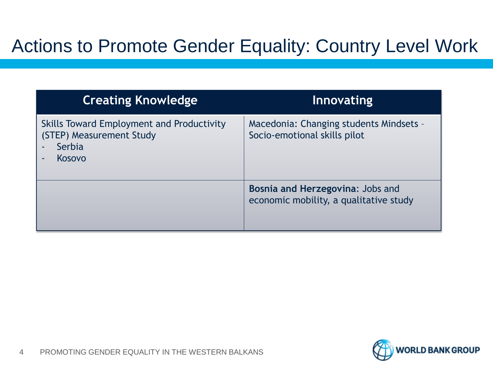## Actions to Promote Gender Equality: Country Level Work

| <b>Creating Knowledge</b>                                                                 | Innovating                                                                 |
|-------------------------------------------------------------------------------------------|----------------------------------------------------------------------------|
| Skills Toward Employment and Productivity<br>(STEP) Measurement Study<br>Serbia<br>Kosovo | Macedonia: Changing students Mindsets -<br>Socio-emotional skills pilot    |
|                                                                                           | Bosnia and Herzegovina: Jobs and<br>economic mobility, a qualitative study |

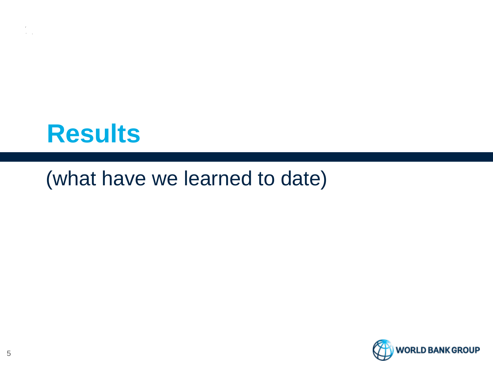

## (what have we learned to date)

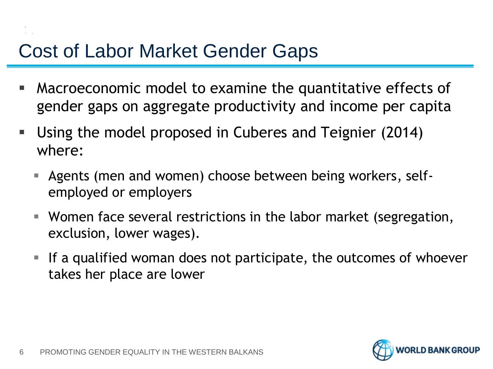# Cost of Labor Market Gender Gaps

- Macroeconomic model to examine the quantitative effects of gender gaps on aggregate productivity and income per capita
- Using the model proposed in Cuberes and Teignier (2014) where:
	- Agents (men and women) choose between being workers, selfemployed or employers
	- Women face several restrictions in the labor market (segregation, exclusion, lower wages).
	- If a qualified woman does not participate, the outcomes of whoever takes her place are lower

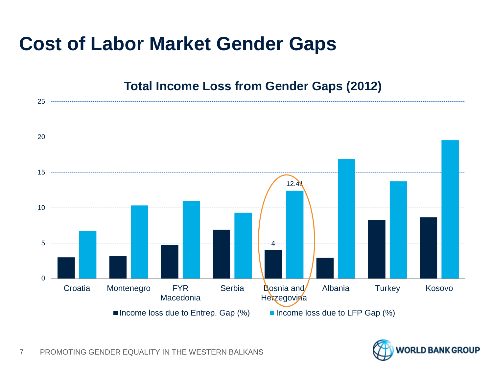# **Cost of Labor Market Gender Gaps**



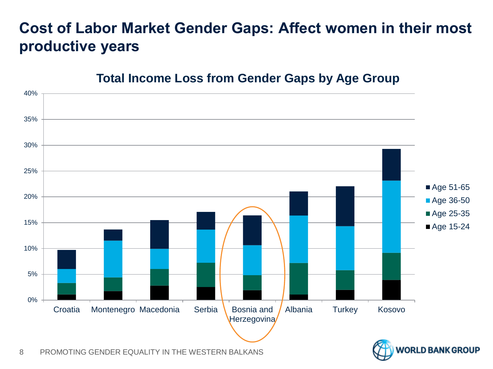#### **Cost of Labor Market Gender Gaps: Affect women in their most productive years**

#### **Total Income Loss from Gender Gaps by Age Group**



8 PROMOTING GENDER EQUALITY IN THE WESTERN BALKANS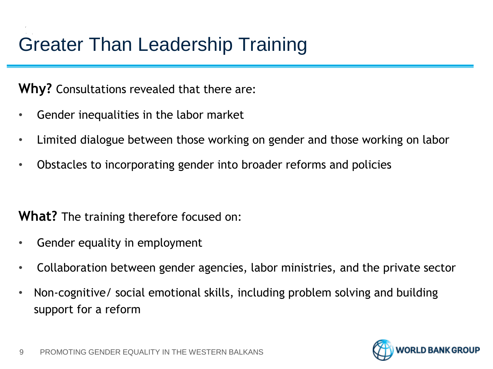# Greater Than Leadership Training

**Why?** Consultations revealed that there are:

- Gender inequalities in the labor market
- Limited dialogue between those working on gender and those working on labor
- Obstacles to incorporating gender into broader reforms and policies

**What?** The training therefore focused on:

- Gender equality in employment
- Collaboration between gender agencies, labor ministries, and the private sector
- Non-cognitive/ social emotional skills, including problem solving and building support for a reform

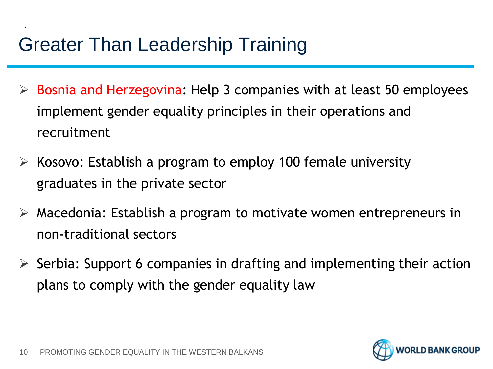# Greater Than Leadership Training

- $\triangleright$  Bosnia and Herzegovina: Help 3 companies with at least 50 employees implement gender equality principles in their operations and recruitment
- $\triangleright$  Kosovo: Establish a program to employ 100 female university graduates in the private sector
- $\triangleright$  Macedonia: Establish a program to motivate women entrepreneurs in non-traditional sectors
- $\triangleright$  Serbia: Support 6 companies in drafting and implementing their action plans to comply with the gender equality law

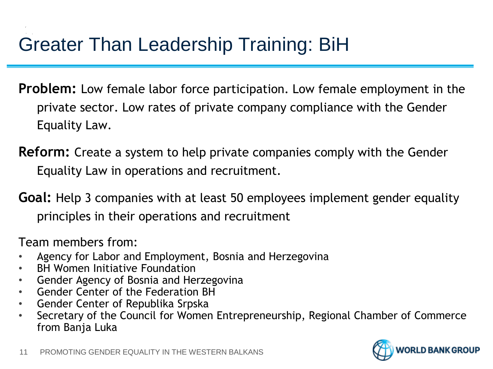# Greater Than Leadership Training: BiH

- **Problem:** Low female labor force participation. Low female employment in the private sector. Low rates of private company compliance with the Gender Equality Law.
- **Reform:** Create a system to help private companies comply with the Gender Equality Law in operations and recruitment.
- **Goal:** Help 3 companies with at least 50 employees implement gender equality principles in their operations and recruitment

Team members from:

- Agency for Labor and Employment, Bosnia and Herzegovina
- **BH Women Initiative Foundation**
- Gender Agency of Bosnia and Herzegovina
- Gender Center of the Federation BH
- Gender Center of Republika Srpska
- Secretary of the Council for Women Entrepreneurship, Regional Chamber of Commerce from Banja Luka

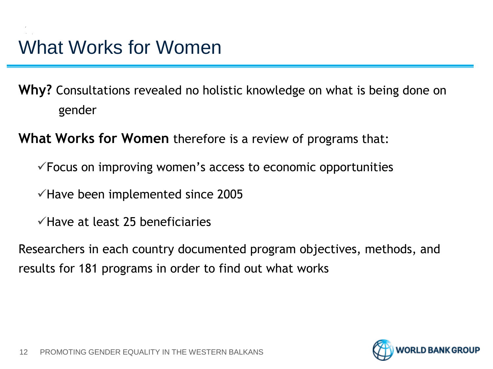**Why?** Consultations revealed no holistic knowledge on what is being done on gender

**What Works for Women** therefore is a review of programs that:

 $\checkmark$  Focus on improving women's access to economic opportunities

 $\checkmark$  Have been implemented since 2005

 $\checkmark$  Have at least 25 beneficiaries

Researchers in each country documented program objectives, methods, and results for 181 programs in order to find out what works

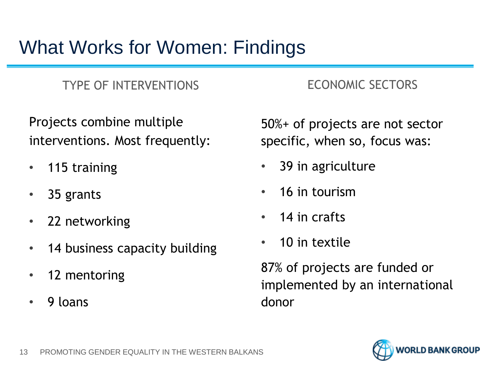# What Works for Women: Findings

#### TYPE OF INTERVENTIONS ECONOMIC SECTORS

Projects combine multiple interventions. Most frequently:

- 115 training
- 35 grants
- 22 networking
- 14 business capacity building
- 12 mentoring
- 9 loans

50%+ of projects are not sector specific, when so, focus was:

- 39 in agriculture
- 16 in tourism
- 14 in crafts
- 10 in textile

87% of projects are funded or implemented by an international donor

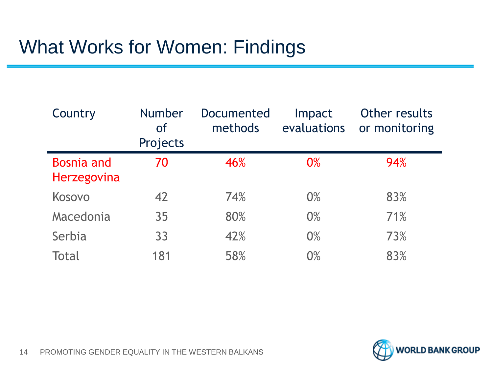# What Works for Women: Findings

| Country                          | <b>Number</b><br><b>of</b><br>Projects | Documented<br>methods | Impact<br>evaluations | Other results<br>or monitoring |
|----------------------------------|----------------------------------------|-----------------------|-----------------------|--------------------------------|
| <b>Bosnia and</b><br>Herzegovina | 70                                     | 46%                   | 0%                    | 94%                            |
| Kosovo                           | 42                                     | 74%                   | 0%                    | 83%                            |
| Macedonia                        | 35                                     | 80%                   | 0%                    | 71%                            |
| Serbia                           | 33                                     | 42%                   | 0%                    | 73%                            |
| Total                            | 181                                    | 58%                   | 0%                    | 83%                            |

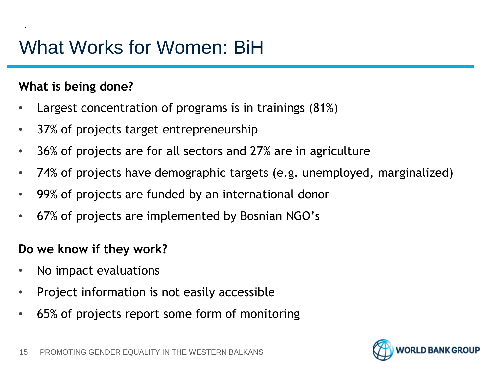# What Works for Women: BiH

#### **What is being done?**

- Largest concentration of programs is in trainings (81%)
- 37% of projects target entrepreneurship
- 36% of projects are for all sectors and 27% are in agriculture
- 74% of projects have demographic targets (e.g. unemployed, marginalized)
- 99% of projects are funded by an international donor
- 67% of projects are implemented by Bosnian NGO's

#### **Do we know if they work?**

- No impact evaluations
- Project information is not easily accessible
- 65% of projects report some form of monitoring

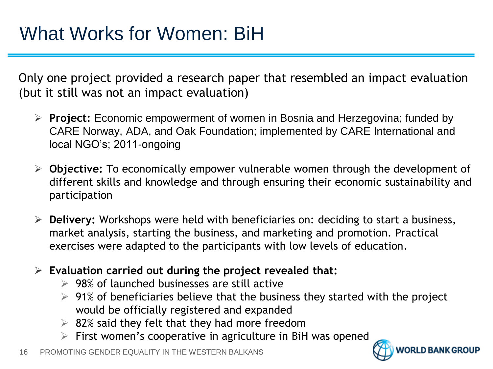Only one project provided a research paper that resembled an impact evaluation (but it still was not an impact evaluation)

- **Project:** Economic empowerment of women in Bosnia and Herzegovina; funded by CARE Norway, ADA, and Oak Foundation; implemented by CARE International and local NGO's; 2011-ongoing
- **Objective:** To economically empower vulnerable women through the development of different skills and knowledge and through ensuring their economic sustainability and participation
- **Delivery:** Workshops were held with beneficiaries on: deciding to start a business, market analysis, starting the business, and marketing and promotion. Practical exercises were adapted to the participants with low levels of education.
- **Evaluation carried out during the project revealed that:**
	- $\geq$  98% of launched businesses are still active
	- $\geq 91\%$  of beneficiaries believe that the business they started with the project would be officially registered and expanded
	- $\geq$  82% said they felt that they had more freedom
	- $\triangleright$  First women's cooperative in agriculture in BiH was opened

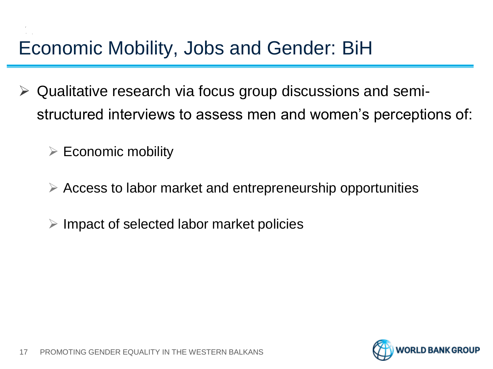# Economic Mobility, Jobs and Gender: BiH

- $\triangleright$  Qualitative research via focus group discussions and semistructured interviews to assess men and women's perceptions of:
	- $\triangleright$  Economic mobility
	- $\triangleright$  Access to labor market and entrepreneurship opportunities
	- $\triangleright$  Impact of selected labor market policies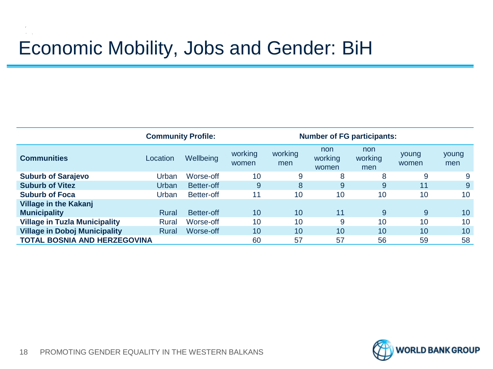# Economic Mobility, Jobs and Gender: BiH

|                                      | <b>Community Profile:</b> |            |                  | <b>Number of FG participants:</b> |                         |                       |                |              |
|--------------------------------------|---------------------------|------------|------------------|-----------------------------------|-------------------------|-----------------------|----------------|--------------|
| <b>Communities</b>                   | Location                  | Wellbeing  | working<br>women | working<br>men                    | non<br>working<br>women | non<br>working<br>men | young<br>women | young<br>men |
| <b>Suburb of Sarajevo</b>            | Urban                     | Worse-off  | 10               | 9                                 | 8                       | 8                     | 9              | 9            |
| <b>Suburb of Vitez</b>               | Urban                     | Better-off | 9                | 8                                 | 9                       | 9                     | 11             | 9            |
| <b>Suburb of Foca</b>                | Urban                     | Better-off | 11               | 10                                | 10                      | 10                    | 10             | 10           |
| <b>Village in the Kakanj</b>         |                           |            |                  |                                   |                         |                       |                |              |
| <b>Municipality</b>                  | Rural                     | Better-off | 10               | 10                                | 11                      | 9                     | 9              | 10           |
| <b>Village in Tuzla Municipality</b> | Rural                     | Worse-off  | 10               | 10                                | 9                       | 10                    | 10             | 10           |
| <b>Village in Doboj Municipality</b> | Rural                     | Worse-off  | 10               | 10                                | 10                      | 10                    | 10             | 10           |
| <b>TOTAL BOSNIA AND HERZEGOVINA</b>  |                           |            | 60               | 57                                | 57                      | 56                    | 59             | 58           |

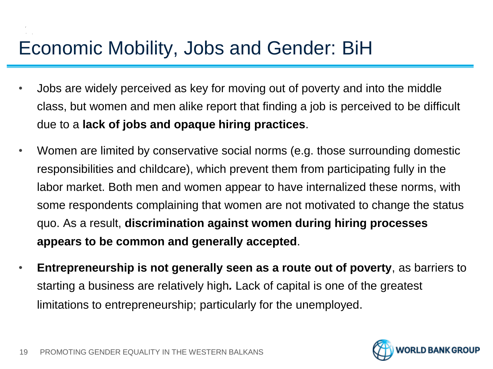# Economic Mobility, Jobs and Gender: BiH

- Jobs are widely perceived as key for moving out of poverty and into the middle class, but women and men alike report that finding a job is perceived to be difficult due to a **lack of jobs and opaque hiring practices**.
- Women are limited by conservative social norms (e.g. those surrounding domestic responsibilities and childcare), which prevent them from participating fully in the labor market. Both men and women appear to have internalized these norms, with some respondents complaining that women are not motivated to change the status quo. As a result, **discrimination against women during hiring processes appears to be common and generally accepted**.
- **Entrepreneurship is not generally seen as a route out of poverty**, as barriers to starting a business are relatively high*.* Lack of capital is one of the greatest limitations to entrepreneurship; particularly for the unemployed.

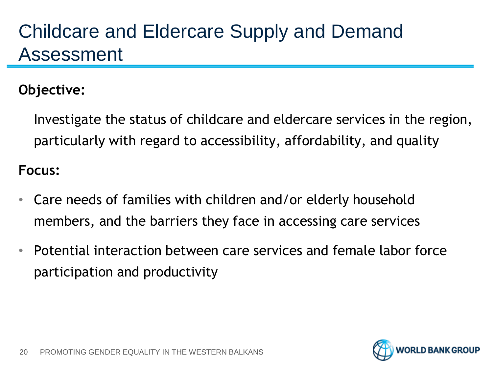# Childcare and Eldercare Supply and Demand Assessment

#### **Objective:**

Investigate the status of childcare and eldercare services in the region, particularly with regard to accessibility, affordability, and quality

#### **Focus:**

- Care needs of families with children and/or elderly household members, and the barriers they face in accessing care services
- Potential interaction between care services and female labor force participation and productivity

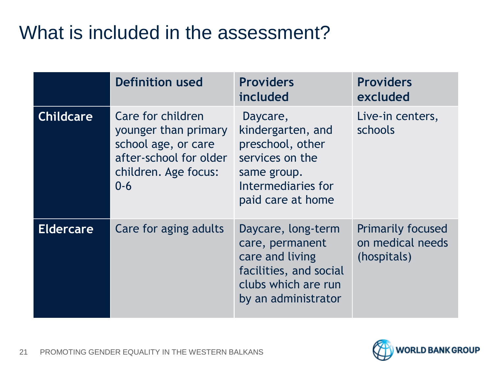# What is included in the assessment?

|                  | <b>Definition used</b>                                                                                                        | <b>Providers</b><br>included                                                                                                     | <b>Providers</b><br>excluded                                |
|------------------|-------------------------------------------------------------------------------------------------------------------------------|----------------------------------------------------------------------------------------------------------------------------------|-------------------------------------------------------------|
| <b>Childcare</b> | Care for children<br>younger than primary<br>school age, or care<br>after-school for older<br>children. Age focus:<br>$0 - 6$ | Daycare,<br>kindergarten, and<br>preschool, other<br>services on the<br>same group.<br>Intermediaries for<br>paid care at home   | Live-in centers,<br>schools                                 |
| <b>Eldercare</b> | Care for aging adults                                                                                                         | Daycare, long-term<br>care, permanent<br>care and living<br>facilities, and social<br>clubs which are run<br>by an administrator | <b>Primarily focused</b><br>on medical needs<br>(hospitals) |



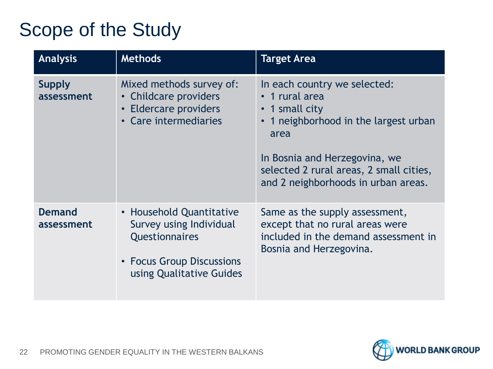# Scope of the Study

| <b>Analysis</b>             | <b>Methods</b>                                                                                                                        | <b>Target Area</b>                                                                                                                                                                                                                            |
|-----------------------------|---------------------------------------------------------------------------------------------------------------------------------------|-----------------------------------------------------------------------------------------------------------------------------------------------------------------------------------------------------------------------------------------------|
| <b>Supply</b><br>assessment | Mixed methods survey of:<br>• Childcare providers<br>• Eldercare providers<br>• Care intermediaries                                   | In each country we selected:<br>• 1 rural area<br>1 small city<br>$\bullet$<br>1 neighborhood in the largest urban<br>area<br>In Bosnia and Herzegovina, we<br>selected 2 rural areas, 2 small cities,<br>and 2 neighborhoods in urban areas. |
| <b>Demand</b><br>assessment | • Household Quantitative<br>Survey using Individual<br><b>Questionnaires</b><br>• Focus Group Discussions<br>using Qualitative Guides | Same as the supply assessment,<br>except that no rural areas were<br>included in the demand assessment in<br>Bosnia and Herzegovina.                                                                                                          |

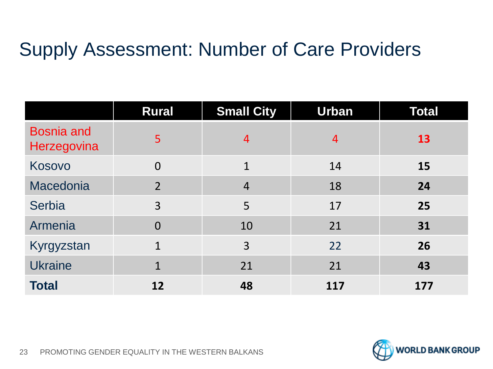# Supply Assessment: Number of Care Providers

|                                  | <b>Rural</b>   | <b>Small City</b> | <b>Urban</b>   | <b>Total</b> |
|----------------------------------|----------------|-------------------|----------------|--------------|
| <b>Bosnia and</b><br>Herzegovina | 5              | $\overline{4}$    | $\overline{4}$ | <b>13</b>    |
| Kosovo                           | $\overline{0}$ | $\mathbf{1}$      | 14             | 15           |
| Macedonia                        | $\overline{2}$ | $\overline{4}$    | 18             | 24           |
| Serbia                           | $\overline{3}$ | 5                 | 17             | 25           |
| Armenia                          | $\overline{0}$ | 10                | 21             | 31           |
| Kyrgyzstan                       | $\mathbf{1}$   | 3                 | 22             | 26           |
| <b>Ukraine</b>                   | $\mathbf{1}$   | 21                | 21             | 43           |
| <b>Total</b>                     | 12             | 48                | 117            | 177          |

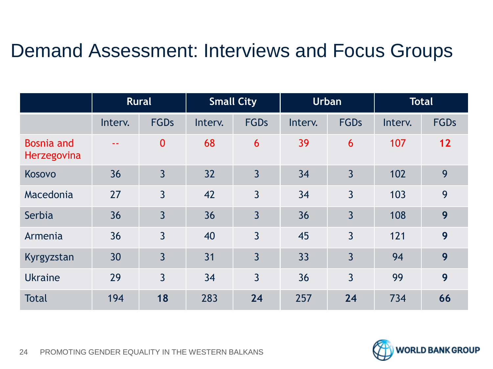## Demand Assessment: Interviews and Focus Groups

|                                         | <b>Rural</b>  |                  | <b>Small City</b> |                | <b>Urban</b> |                | <b>Total</b> |             |
|-----------------------------------------|---------------|------------------|-------------------|----------------|--------------|----------------|--------------|-------------|
|                                         | Interv.       | <b>FGDs</b>      | Interv.           | <b>FGDs</b>    | Interv.      | <b>FGDs</b>    | Interv.      | <b>FGDs</b> |
| <b>Bosnia and</b><br><b>Herzegovina</b> | $\sim$ $\sim$ | $\boldsymbol{0}$ | 68                | 6              | 39           | 6              | 107          | 12          |
| Kosovo                                  | 36            | $\overline{3}$   | 32                | $\overline{3}$ | 34           | $\overline{3}$ | 102          | 9           |
| Macedonia                               | 27            | $\overline{3}$   | 42                | $\overline{3}$ | 34           | $\overline{3}$ | 103          | 9           |
| Serbia                                  | 36            | $\overline{3}$   | 36                | $\overline{3}$ | 36           | $\overline{3}$ | 108          | 9           |
| Armenia                                 | 36            | $\overline{3}$   | 40                | $\overline{3}$ | 45           | $\overline{3}$ | 121          | 9           |
| Kyrgyzstan                              | 30            | $\overline{3}$   | 31                | $\overline{3}$ | 33           | $\overline{3}$ | 94           | 9           |
| <b>Ukraine</b>                          | 29            | $\overline{3}$   | 34                | $\overline{3}$ | 36           | $\overline{3}$ | 99           | 9           |
| <b>Total</b>                            | 194           | 18               | 283               | 24             | 257          | 24             | 734          | 66          |

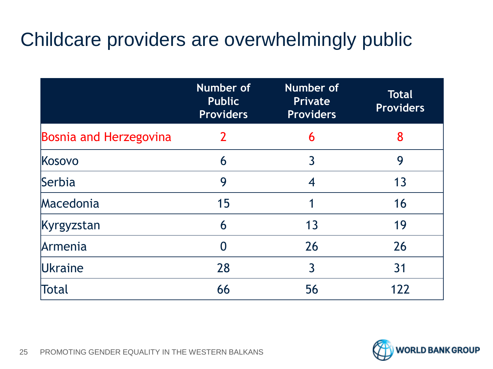# Childcare providers are overwhelmingly public

|                        | Number of<br><b>Public</b><br><b>Providers</b> | <b>Number of</b><br><b>Private</b><br><b>Providers</b> | <b>Total</b><br><b>Providers</b> |
|------------------------|------------------------------------------------|--------------------------------------------------------|----------------------------------|
| Bosnia and Herzegovina | $\overline{2}$                                 | 6                                                      | 8                                |
| Kosovo                 | 6                                              | 3                                                      | 9                                |
| Serbia                 | 9                                              | 4                                                      | 13                               |
| Macedonia              | 15                                             |                                                        | 16                               |
| Kyrgyzstan             | 6                                              | 13                                                     | 19                               |
| Armenia                |                                                | 26                                                     | 26                               |
| Ukraine                | 28                                             | 3                                                      | 31                               |
| Total                  | 66                                             | 56                                                     | 122                              |

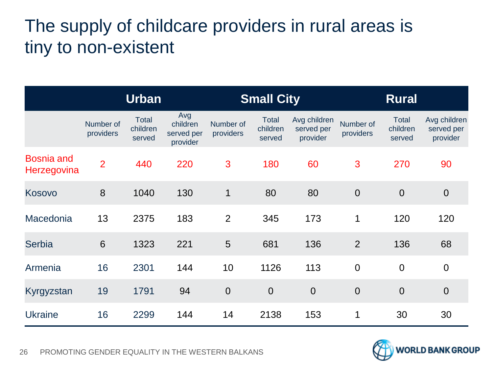### The supply of childcare providers in rural areas is tiny to non-existent

|                                  |                        | <b>Urban</b>                       |                                           |                        | <b>Small City</b>                  |                                        |                        | <b>Rural</b>                |                                        |
|----------------------------------|------------------------|------------------------------------|-------------------------------------------|------------------------|------------------------------------|----------------------------------------|------------------------|-----------------------------|----------------------------------------|
|                                  | Number of<br>providers | <b>Total</b><br>children<br>served | Avg<br>children<br>served per<br>provider | Number of<br>providers | <b>Total</b><br>children<br>served | Avg children<br>served per<br>provider | Number of<br>providers | Total<br>children<br>served | Avg children<br>served per<br>provider |
| <b>Bosnia and</b><br>Herzegovina | $\overline{2}$         | 440                                | 220                                       | 3                      | 180                                | 60                                     | 3                      | 270                         | 90                                     |
| Kosovo                           | 8                      | 1040                               | 130                                       | $\mathbf 1$            | 80                                 | 80                                     | $\overline{0}$         | $\overline{0}$              | $\overline{0}$                         |
| Macedonia                        | 13                     | 2375                               | 183                                       | $\overline{2}$         | 345                                | 173                                    | $\mathbf 1$            | 120                         | 120                                    |
| <b>Serbia</b>                    | $6\phantom{1}6$        | 1323                               | 221                                       | 5                      | 681                                | 136                                    | $\overline{2}$         | 136                         | 68                                     |
| Armenia                          | 16                     | 2301                               | 144                                       | 10                     | 1126                               | 113                                    | $\overline{0}$         | $\overline{0}$              | $\overline{0}$                         |
| Kyrgyzstan                       | 19                     | 1791                               | 94                                        | $\overline{0}$         | $\overline{0}$                     | $\overline{0}$                         | $\overline{0}$         | $\overline{0}$              | $\overline{0}$                         |
| <b>Ukraine</b>                   | 16                     | 2299                               | 144                                       | 14                     | 2138                               | 153                                    | $\mathbf 1$            | 30                          | 30                                     |

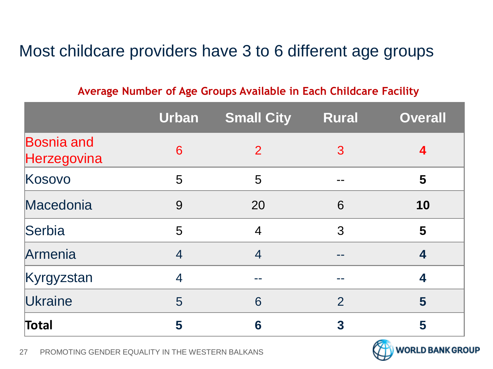#### Most childcare providers have 3 to 6 different age groups

#### **Average Number of Age Groups Available in Each Childcare Facility**

|                                  | <b>Urban</b>   | <b>Small City</b> | <b>Rural</b>   | <b>Overall</b> |
|----------------------------------|----------------|-------------------|----------------|----------------|
| <b>Bosnia and</b><br>Herzegovina | 6              | $\overline{2}$    | 3              | 4              |
| Kosovo                           | 5              | 5                 |                | 5              |
| Macedonia                        | 9              | 20                | 6              | 10             |
| Serbia                           | 5              | $\overline{4}$    | 3              | 5              |
| Armenia                          | $\overline{4}$ | $\overline{4}$    |                | 4              |
| Kyrgyzstan                       | $\overline{4}$ |                   |                | 4              |
| Ukraine                          | 5              | 6                 | $\overline{2}$ | 5              |
| Total                            | 5              | 6                 | 3              | 5              |



27 PROMOTING GENDER EQUALITY IN THE WESTERN BALKANS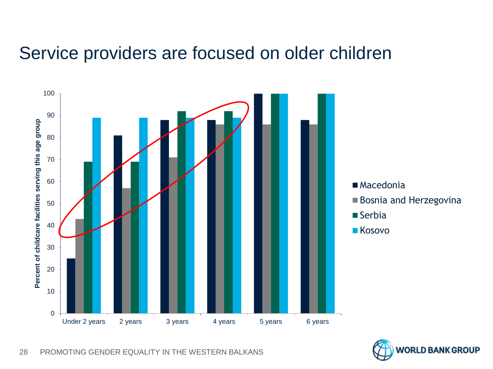#### Service providers are focused on older children



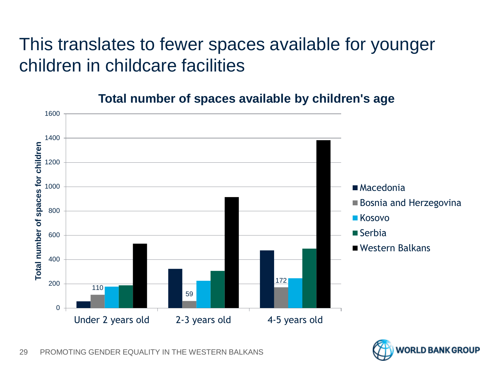### This translates to fewer spaces available for younger children in childcare facilities



#### **Total number of spaces available by children's age**

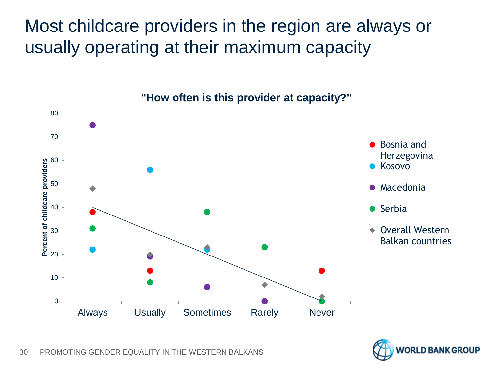Most childcare providers in the region are always or usually operating at their maximum capacity



**"How often is this provider at capacity?"**

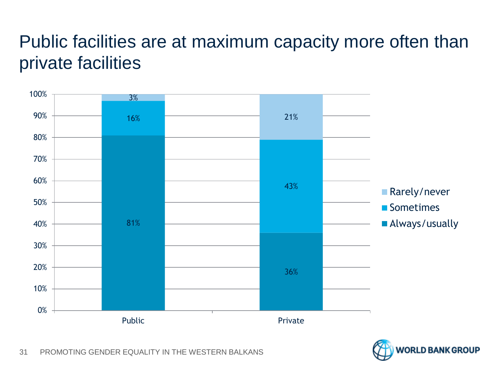## Public facilities are at maximum capacity more often than private facilities



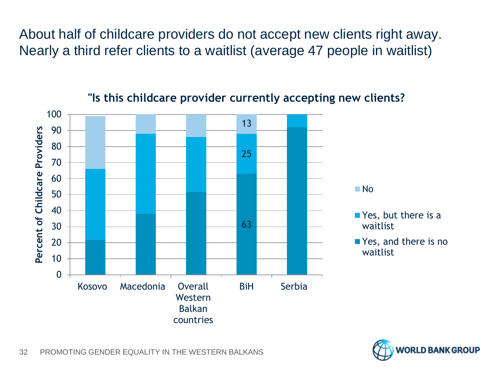About half of childcare providers do not accept new clients right away. Nearly a third refer clients to a waitlist (average 47 people in waitlist)



#### **"Is this childcare provider currently accepting new clients?**

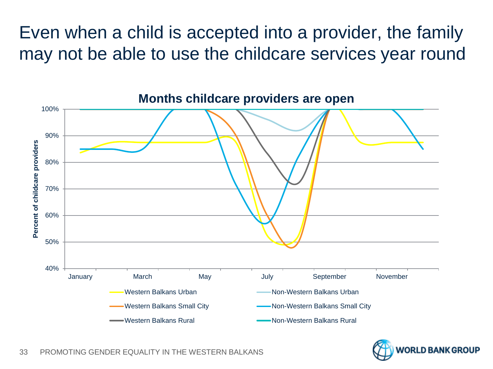Even when a child is accepted into a provider, the family may not be able to use the childcare services year round



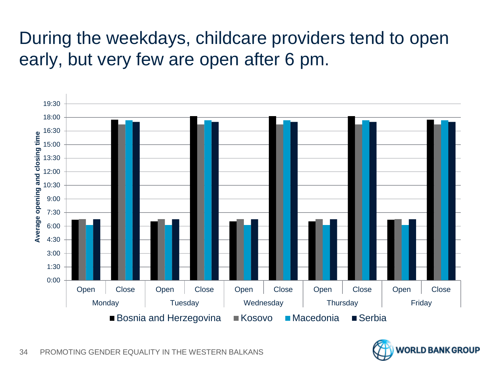## During the weekdays, childcare providers tend to open early, but very few are open after 6 pm.



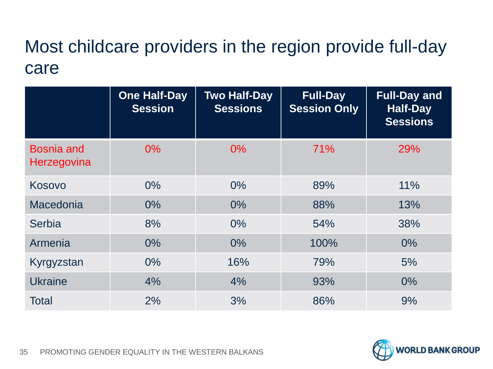### Most childcare providers in the region provide full-day care

|                                  | <b>One Half-Day</b><br><b>Session</b> | <b>Two Half-Day</b><br><b>Sessions</b> | <b>Full-Day</b><br><b>Session Only</b> | <b>Full-Day and</b><br><b>Half-Day</b><br><b>Sessions</b> |
|----------------------------------|---------------------------------------|----------------------------------------|----------------------------------------|-----------------------------------------------------------|
| <b>Bosnia and</b><br>Herzegovina | $0\%$                                 | $0\%$                                  | 71%                                    | 29%                                                       |
| Kosovo                           | $0\%$                                 | $0\%$                                  | 89%                                    | 11%                                                       |
| Macedonia                        | 0%                                    | $0\%$                                  | 88%                                    | 13%                                                       |
| Serbia                           | 8%                                    | $0\%$                                  | 54%                                    | 38%                                                       |
| Armenia                          | $0\%$                                 | $0\%$                                  | 100%                                   | $0\%$                                                     |
| Kyrgyzstan                       | $0\%$                                 | 16%                                    | 79%                                    | 5%                                                        |
| <b>Ukraine</b>                   | 4%                                    | 4%                                     | 93%                                    | $0\%$                                                     |
| <b>Total</b>                     | 2%                                    | 3%                                     | 86%                                    | 9%                                                        |

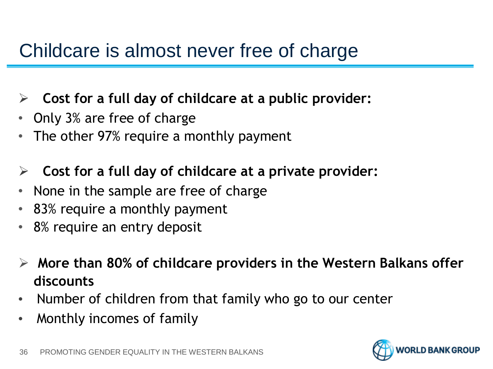# Childcare is almost never free of charge

- **Cost for a full day of childcare at a public provider:**
- Only 3% are free of charge
- The other 97% require a monthly payment
- **Cost for a full day of childcare at a private provider:**
- None in the sample are free of charge
- 83% require a monthly payment
- 8% require an entry deposit
- **More than 80% of childcare providers in the Western Balkans offer discounts**
- Number of children from that family who go to our center
- Monthly incomes of family

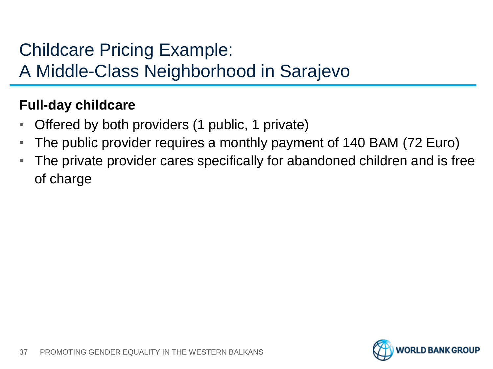### Childcare Pricing Example:

A Middle-Class Neighborhood in Sarajevo

#### **Full-day childcare**

- Offered by both providers (1 public, 1 private)
- The public provider requires a monthly payment of 140 BAM (72 Euro)
- The private provider cares specifically for abandoned children and is free of charge

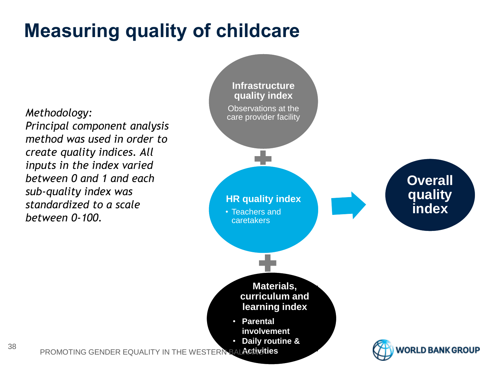# **Measuring quality of childcare**

*Methodology: Principal component analysis method was used in order to create quality indices. All inputs in the index varied between 0 and 1 and each sub-quality index was standardized to a scale between 0-100.* 

38

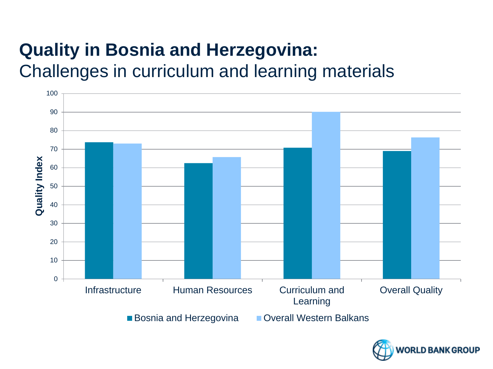## **Quality in Bosnia and Herzegovina:** Challenges in curriculum and learning materials



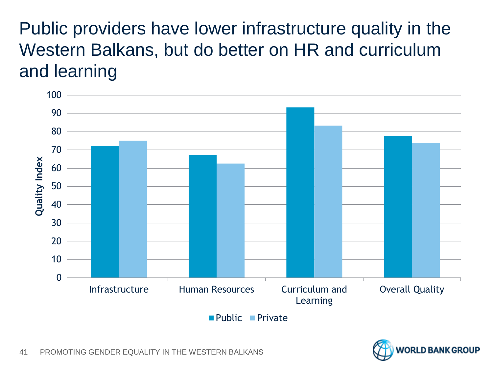Public providers have lower infrastructure quality in the Western Balkans, but do better on HR and curriculum and learning



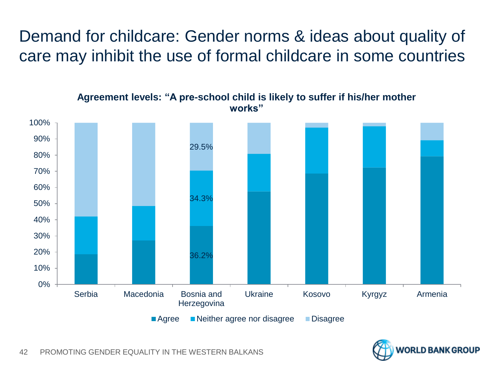Demand for childcare: Gender norms & ideas about quality of care may inhibit the use of formal childcare in some countries



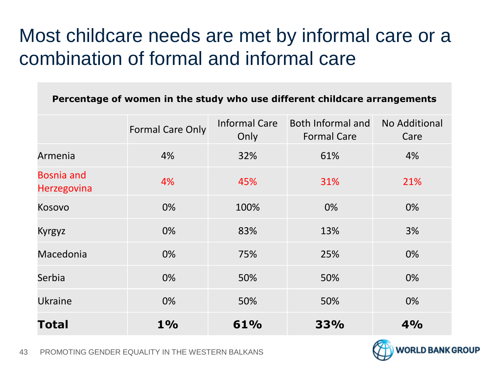# Most childcare needs are met by informal care or a combination of formal and informal care

| Percentage of women in the study who use different childcare arrangements |                  |                              |                                         |                       |  |  |
|---------------------------------------------------------------------------|------------------|------------------------------|-----------------------------------------|-----------------------|--|--|
|                                                                           | Formal Care Only | <b>Informal Care</b><br>Only | Both Informal and<br><b>Formal Care</b> | No Additional<br>Care |  |  |
| Armenia                                                                   | 4%               | 32%                          | 61%                                     | 4%                    |  |  |
| <b>Bosnia and</b><br><b>Herzegovina</b>                                   | 4%               | 45%                          | 31%                                     | 21%                   |  |  |
| Kosovo                                                                    | 0%               | 100%                         | $0\%$                                   | 0%                    |  |  |
| <b>Kyrgyz</b>                                                             | 0%               | 83%                          | 13%                                     | 3%                    |  |  |
| Macedonia                                                                 | 0%               | 75%                          | 25%                                     | 0%                    |  |  |
| Serbia                                                                    | 0%               | 50%                          | 50%                                     | 0%                    |  |  |
| <b>Ukraine</b>                                                            | 0%               | 50%                          | 50%                                     | 0%                    |  |  |
| Total                                                                     | $1\%$            | 61%                          | 33%                                     | 4%                    |  |  |

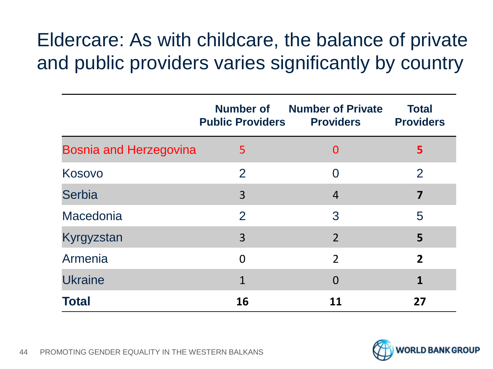# Eldercare: As with childcare, the balance of private and public providers varies significantly by country

|                               | <b>Public Providers</b> | <b>Number of</b> Number of Private<br><b>Providers</b> | <b>Total</b><br><b>Providers</b> |
|-------------------------------|-------------------------|--------------------------------------------------------|----------------------------------|
| <b>Bosnia and Herzegovina</b> | 5                       | $\overline{0}$                                         | 5                                |
| Kosovo                        | 2                       | $\Omega$                                               | $\overline{2}$                   |
| <b>Serbia</b>                 | 3                       | $\overline{4}$                                         | $\overline{\mathbf{z}}$          |
| Macedonia                     | 2                       | 3                                                      | 5                                |
| Kyrgyzstan                    | 3                       | $\overline{2}$                                         | 5                                |
| Armenia                       | $\overline{0}$          | $\overline{2}$                                         | $\overline{2}$                   |
| <b>Ukraine</b>                | $\mathbf{1}$            | $\overline{0}$                                         | 1                                |
| <b>Total</b>                  | 16                      | 11                                                     | 27                               |

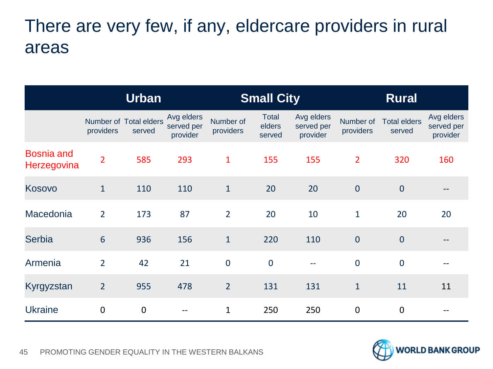### There are very few, if any, eldercare providers in rural areas

|                                  | <b>Urban</b>    |                                  | <b>Small City</b>                    |                        |                                  | <b>Rural</b>                         |                        |                               |                                      |
|----------------------------------|-----------------|----------------------------------|--------------------------------------|------------------------|----------------------------------|--------------------------------------|------------------------|-------------------------------|--------------------------------------|
|                                  | providers       | Number of Total elders<br>served | Avg elders<br>served per<br>provider | Number of<br>providers | <b>Total</b><br>elders<br>served | Avg elders<br>served per<br>provider | Number of<br>providers | <b>Total elders</b><br>served | Avg elders<br>served per<br>provider |
| <b>Bosnia and</b><br>Herzegovina | $\overline{2}$  | 585                              | 293                                  | $\mathbf{1}$           | 155                              | 155                                  | $\overline{2}$         | 320                           | 160                                  |
| Kosovo                           | $\mathbf{1}$    | 110                              | 110                                  | $\mathbf{1}$           | 20                               | 20                                   | $\overline{0}$         | $\overline{0}$                |                                      |
| Macedonia                        | $\overline{2}$  | 173                              | 87                                   | $\overline{2}$         | 20                               | 10                                   | $\mathbf{1}$           | 20                            | 20                                   |
| <b>Serbia</b>                    | $6\phantom{1}6$ | 936                              | 156                                  | $\mathbf{1}$           | 220                              | 110                                  | $\overline{0}$         | $\overline{0}$                |                                      |
| Armenia                          | $\overline{2}$  | 42                               | 21                                   | $\mathbf 0$            | $\overline{0}$                   | $-$                                  | $\mathbf 0$            | $\overline{0}$                | --                                   |
| Kyrgyzstan                       | $\overline{2}$  | 955                              | 478                                  | $\overline{2}$         | 131                              | 131                                  | $\mathbf{1}$           | 11                            | 11                                   |
| <b>Ukraine</b>                   | $\mathbf 0$     | $\boldsymbol{0}$                 | --                                   | $\mathbf{1}$           | 250                              | 250                                  | $\mathbf 0$            | $\mathbf 0$                   |                                      |

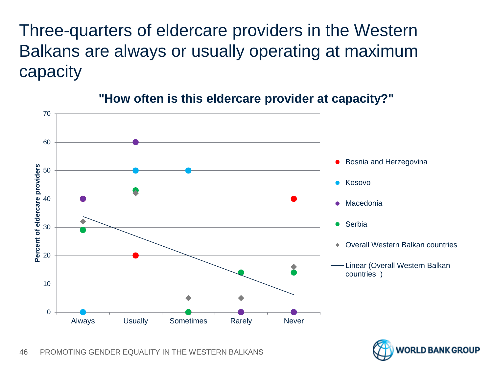Three-quarters of eldercare providers in the Western Balkans are always or usually operating at maximum capacity



#### **"How often is this eldercare provider at capacity?"**

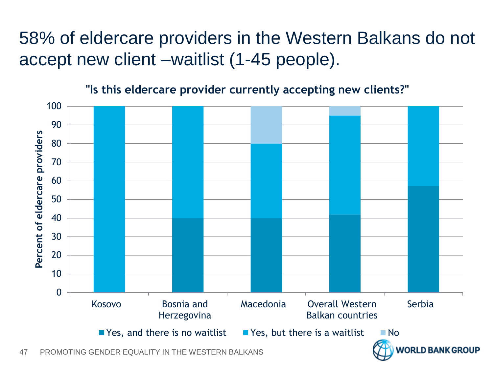## 58% of eldercare providers in the Western Balkans do not accept new client –waitlist (1-45 people).



**IRLD BANK GROUP** 

**"Is this eldercare provider currently accepting new clients?"**

47 PROMOTING GENDER EQUALITY IN THE WESTERN BALKANS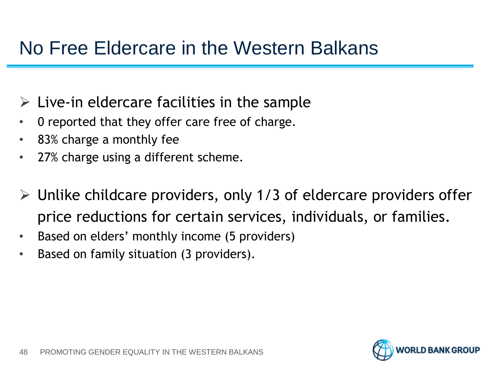## No Free Eldercare in the Western Balkans

- $\triangleright$  Live-in eldercare facilities in the sample
- 0 reported that they offer care free of charge.
- 83% charge a monthly fee
- 27% charge using a different scheme.
- $\triangleright$  Unlike childcare providers, only 1/3 of eldercare providers offer price reductions for certain services, individuals, or families.
- Based on elders' monthly income (5 providers)
- Based on family situation (3 providers).

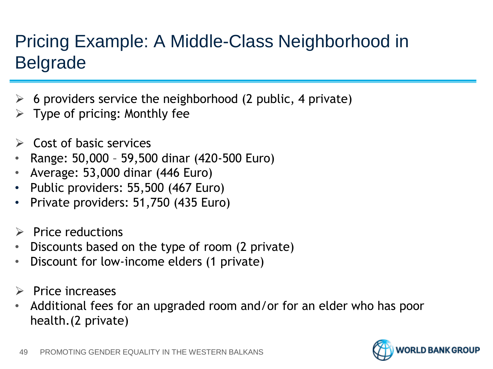# Pricing Example: A Middle-Class Neighborhood in Belgrade

- 6 providers service the neighborhood (2 public, 4 private)
- $\triangleright$  Type of pricing: Monthly fee
- Cost of basic services
- Range: 50,000 59,500 dinar (420-500 Euro)
- Average: 53,000 dinar (446 Euro)
- Public providers: 55,500 (467 Euro)
- Private providers: 51,750 (435 Euro)
- Price reductions
- Discounts based on the type of room (2 private)
- Discount for low-income elders (1 private)
- $\triangleright$  Price increases
- Additional fees for an upgraded room and/or for an elder who has poor health.(2 private)

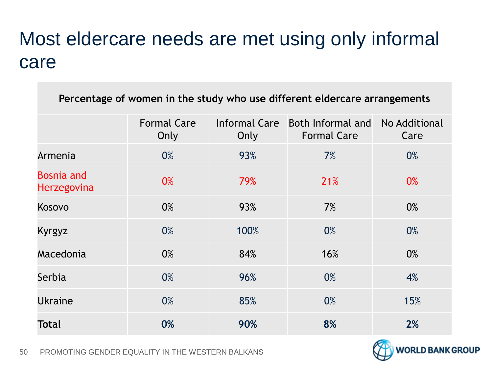# Most eldercare needs are met using only informal care

| Percentage of women in the study who use different eldercare arrangements |                            |                              |                                         |                       |  |  |
|---------------------------------------------------------------------------|----------------------------|------------------------------|-----------------------------------------|-----------------------|--|--|
|                                                                           | <b>Formal Care</b><br>Only | <b>Informal Care</b><br>Only | Both Informal and<br><b>Formal Care</b> | No Additional<br>Care |  |  |
| Armenia                                                                   | 0%                         | 93%                          | 7%                                      | 0%                    |  |  |
| <b>Bosnia and</b><br><b>Herzegovina</b>                                   | 0%                         | 79%                          | 21%                                     | 0%                    |  |  |
| Kosovo                                                                    | 0%                         | 93%                          | 7%                                      | 0%                    |  |  |
| Kyrgyz                                                                    | 0%                         | 100%                         | 0%                                      | 0%                    |  |  |
| Macedonia                                                                 | 0%                         | 84%                          | 16%                                     | 0%                    |  |  |
| Serbia                                                                    | 0%                         | 96%                          | 0%                                      | 4%                    |  |  |
| <b>Ukraine</b>                                                            | 0%                         | 85%                          | 0%                                      | 15%                   |  |  |
| <b>Total</b>                                                              | 0%                         | 90%                          | 8%                                      | 2%                    |  |  |

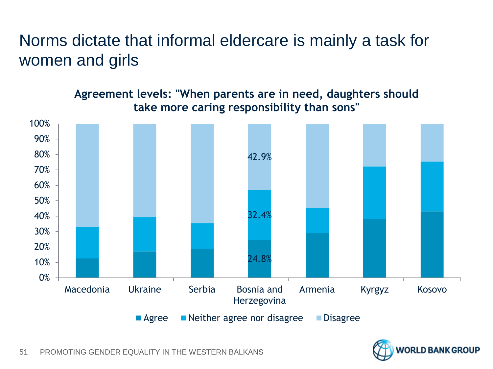### Norms dictate that informal eldercare is mainly a task for women and girls

**Agreement levels: "When parents are in need, daughters should take more caring responsibility than sons"**